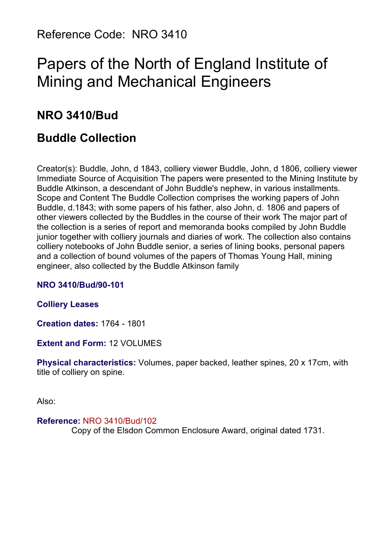Reference Code: NRO 3410

# Papers of the North of England Institute of Mining and Mechanical Engineers

# **NRO 3410/Bud**

# **Buddle Collection**

Creator(s): Buddle, John, d 1843, colliery viewer Buddle, John, d 1806, colliery viewer Immediate Source of Acquisition The papers were presented to the Mining Institute by Buddle Atkinson, a descendant of John Buddle's nephew, in various installments. Scope and Content The Buddle Collection comprises the working papers of John Buddle, d.1843; with some papers of his father, also John, d. 1806 and papers of other viewers collected by the Buddles in the course of their work The major part of the collection is a series of report and memoranda books compiled by John Buddle junior together with colliery journals and diaries of work. The collection also contains colliery notebooks of John Buddle senior, a series of lining books, personal papers and a collection of bound volumes of the papers of Thomas Young Hall, mining engineer, also collected by the Buddle Atkinson family

#### **NRO 3410/Bud/90-101**

#### **Colliery Leases**

**Creation dates:** 1764 - 1801

**Extent and Form:** 12 VOLUMES

**Physical characteristics:** Volumes, paper backed, leather spines, 20 x 17cm, with title of colliery on spine.

Also:

# **Reference:** NRO 3410/Bud/102

Copy of the Elsdon Common Enclosure Award, original dated 1731.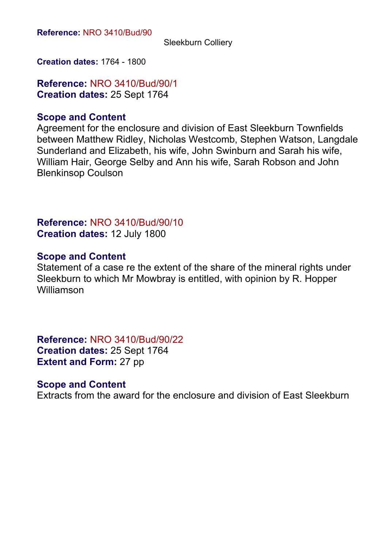Sleekburn Colliery

**Creation dates:** 1764 - 1800

**Reference:** NRO 3410/Bud/90/1 **Creation dates:** 25 Sept 1764

#### **Scope and Content**

Agreement for the enclosure and division of East Sleekburn Townfields between Matthew Ridley, Nicholas Westcomb, Stephen Watson, Langdale Sunderland and Elizabeth, his wife, John Swinburn and Sarah his wife, William Hair, George Selby and Ann his wife, Sarah Robson and John Blenkinsop Coulson

**Reference:** NRO 3410/Bud/90/10 **Creation dates:** 12 July 1800

#### **Scope and Content**

Statement of a case re the extent of the share of the mineral rights under Sleekburn to which Mr Mowbray is entitled, with opinion by R. Hopper Williamson

**Reference:** NRO 3410/Bud/90/22 **Creation dates:** 25 Sept 1764 **Extent and Form: 27 pp** 

#### **Scope and Content**

Extracts from the award for the enclosure and division of East Sleekburn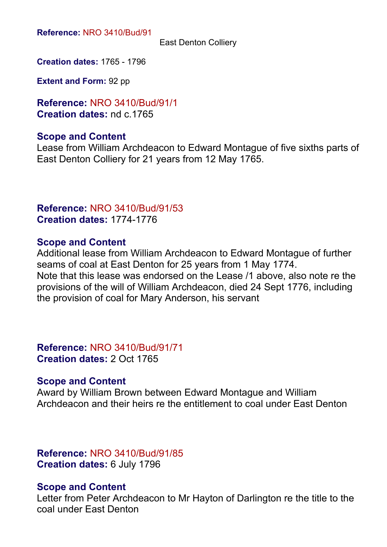East Denton Colliery

**Creation dates:** 1765 - 1796

**Extent and Form:** 92 pp

**Reference:** NRO 3410/Bud/91/1 **Creation dates:** nd c.1765

#### **Scope and Content**

Lease from William Archdeacon to Edward Montague of five sixths parts of East Denton Colliery for 21 years from 12 May 1765.

#### **Reference:** NRO 3410/Bud/91/53 **Creation dates:** 1774-1776

#### **Scope and Content**

Additional lease from William Archdeacon to Edward Montague of further seams of coal at East Denton for 25 years from 1 May 1774. Note that this lease was endorsed on the Lease /1 above, also note re the provisions of the will of William Archdeacon, died 24 Sept 1776, including the provision of coal for Mary Anderson, his servant

**Reference:** NRO 3410/Bud/91/71 **Creation dates:** 2 Oct 1765

#### **Scope and Content**

Award by William Brown between Edward Montague and William Archdeacon and their heirs re the entitlement to coal under East Denton

**Reference:** NRO 3410/Bud/91/85 **Creation dates:** 6 July 1796

#### **Scope and Content**

Letter from Peter Archdeacon to Mr Hayton of Darlington re the title to the coal under East Denton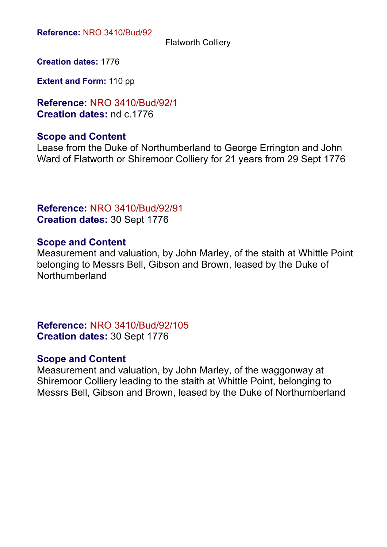Flatworth Colliery

**Creation dates:** 1776

**Extent and Form:** 110 pp

**Reference:** NRO 3410/Bud/92/1 **Creation dates:** nd c.1776

# **Scope and Content**

Lease from the Duke of Northumberland to George Errington and John Ward of Flatworth or Shiremoor Colliery for 21 years from 29 Sept 1776

# **Reference:** NRO 3410/Bud/92/91 **Creation dates:** 30 Sept 1776

# **Scope and Content**

Measurement and valuation, by John Marley, of the staith at Whittle Point belonging to Messrs Bell, Gibson and Brown, leased by the Duke of Northumberland

**Reference:** NRO 3410/Bud/92/105 **Creation dates:** 30 Sept 1776

# **Scope and Content**

Measurement and valuation, by John Marley, of the waggonway at Shiremoor Colliery leading to the staith at Whittle Point, belonging to Messrs Bell, Gibson and Brown, leased by the Duke of Northumberland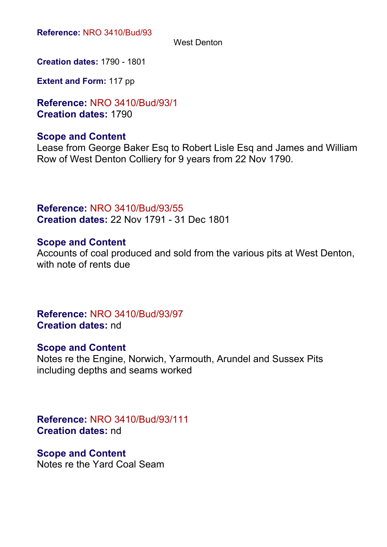West Denton

**Creation dates:** 1790 - 1801

**Extent and Form:** 117 pp

**Reference:** NRO 3410/Bud/93/1 **Creation dates:** 1790

# **Scope and Content**

Lease from George Baker Esq to Robert Lisle Esq and James and William Row of West Denton Colliery for 9 years from 22 Nov 1790.

**Reference:** NRO 3410/Bud/93/55 **Creation dates:** 22 Nov 1791 - 31 Dec 1801

#### **Scope and Content**

Accounts of coal produced and sold from the various pits at West Denton, with note of rents due

**Reference:** NRO 3410/Bud/93/97 **Creation dates:** nd

# **Scope and Content**

Notes re the Engine, Norwich, Yarmouth, Arundel and Sussex Pits including depths and seams worked

# **Reference:** NRO 3410/Bud/93/111 **Creation dates:** nd

**Scope and Content** Notes re the Yard Coal Seam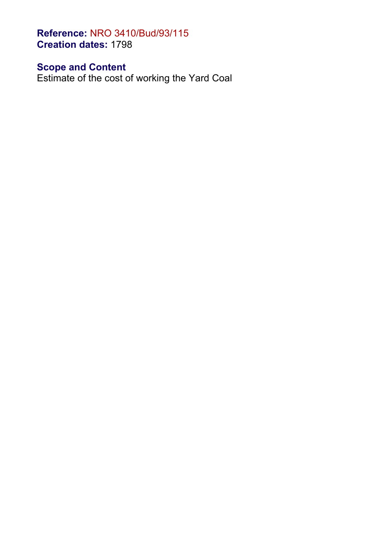**Reference:** NRO 3410/Bud/93/115 **Creation dates:** 1798

**Scope and Content**

Estimate of the cost of working the Yard Coal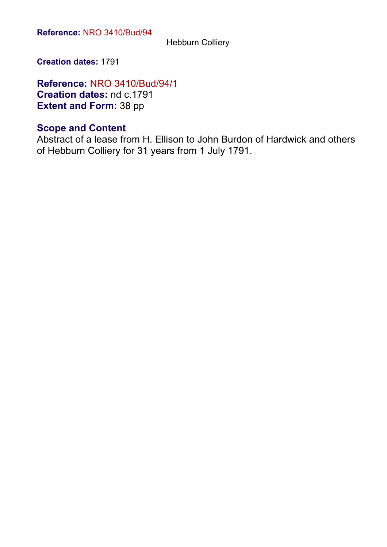Hebburn Colliery

**Creation dates:** 1791

**Reference:** NRO 3410/Bud/94/1 **Creation dates:** nd c.1791 **Extent and Form:** 38 pp

# **Scope and Content**

Abstract of a lease from H. Ellison to John Burdon of Hardwick and others of Hebburn Colliery for 31 years from 1 July 1791.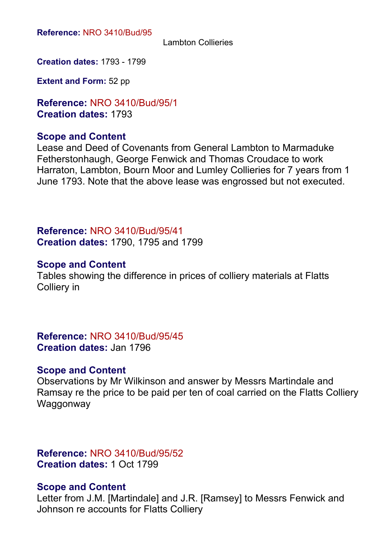#### Lambton Collieries

**Creation dates:** 1793 - 1799

**Extent and Form:** 52 pp

**Reference:** NRO 3410/Bud/95/1 **Creation dates:** 1793

#### **Scope and Content**

Lease and Deed of Covenants from General Lambton to Marmaduke Fetherstonhaugh, George Fenwick and Thomas Croudace to work Harraton, Lambton, Bourn Moor and Lumley Collieries for 7 years from 1 June 1793. Note that the above lease was engrossed but not executed.

**Reference:** NRO 3410/Bud/95/41 **Creation dates:** 1790, 1795 and 1799

#### **Scope and Content**

Tables showing the difference in prices of colliery materials at Flatts Colliery in

**Reference:** NRO 3410/Bud/95/45 **Creation dates:** Jan 1796

#### **Scope and Content**

Observations by Mr Wilkinson and answer by Messrs Martindale and Ramsay re the price to be paid per ten of coal carried on the Flatts Colliery **Waggonway** 

**Reference:** NRO 3410/Bud/95/52 **Creation dates:** 1 Oct 1799

#### **Scope and Content**

Letter from J.M. [Martindale] and J.R. [Ramsey] to Messrs Fenwick and Johnson re accounts for Flatts Colliery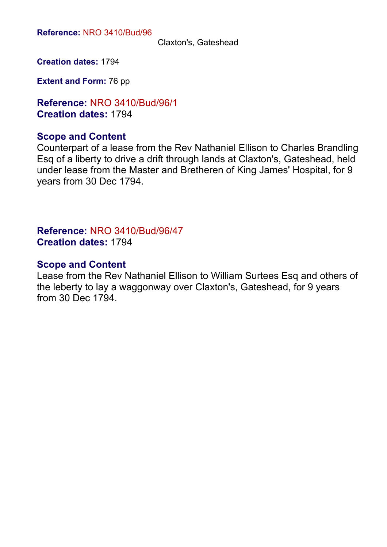Claxton's, Gateshead

**Creation dates:** 1794

**Extent and Form:** 76 pp

**Reference:** NRO 3410/Bud/96/1 **Creation dates:** 1794

#### **Scope and Content**

Counterpart of a lease from the Rev Nathaniel Ellison to Charles Brandling Esq of a liberty to drive a drift through lands at Claxton's, Gateshead, held under lease from the Master and Bretheren of King James' Hospital, for 9 years from 30 Dec 1794.

**Reference:** NRO 3410/Bud/96/47 **Creation dates:** 1794

#### **Scope and Content**

Lease from the Rev Nathaniel Ellison to William Surtees Esq and others of the leberty to lay a waggonway over Claxton's, Gateshead, for 9 years from 30 Dec 1794.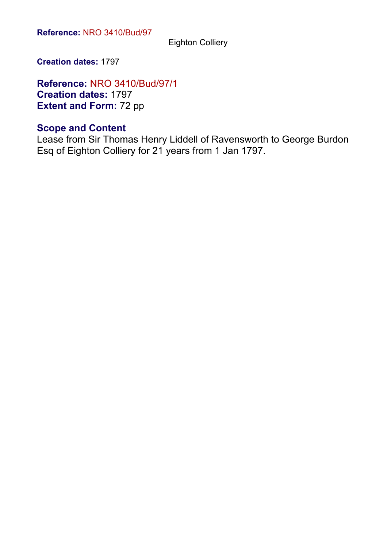Eighton Colliery

**Creation dates:** 1797

**Reference:** NRO 3410/Bud/97/1 **Creation dates:** 1797 **Extent and Form: 72 pp** 

# **Scope and Content**

Lease from Sir Thomas Henry Liddell of Ravensworth to George Burdon Esq of Eighton Colliery for 21 years from 1 Jan 1797.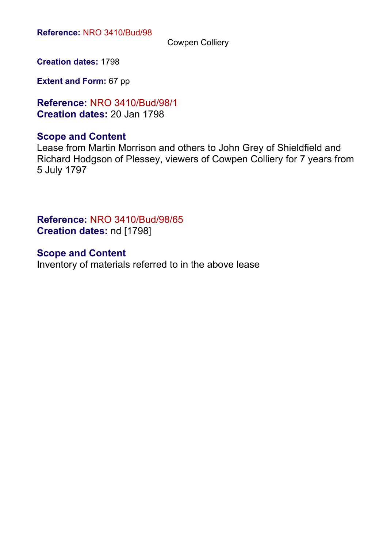Cowpen Colliery

**Creation dates:** 1798

**Extent and Form:** 67 pp

**Reference:** NRO 3410/Bud/98/1 **Creation dates:** 20 Jan 1798

# **Scope and Content**

Lease from Martin Morrison and others to John Grey of Shieldfield and Richard Hodgson of Plessey, viewers of Cowpen Colliery for 7 years from 5 July 1797

**Reference:** NRO 3410/Bud/98/65 **Creation dates:** nd [1798]

**Scope and Content** Inventory of materials referred to in the above lease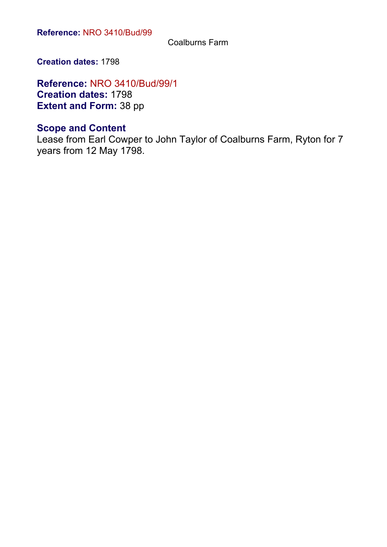Coalburns Farm

**Creation dates:** 1798

**Reference:** NRO 3410/Bud/99/1 **Creation dates:** 1798 **Extent and Form:** 38 pp

# **Scope and Content**

Lease from Earl Cowper to John Taylor of Coalburns Farm, Ryton for 7 years from 12 May 1798.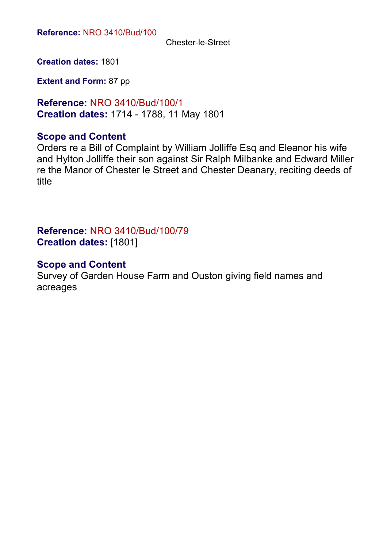Chester-le-Street

**Creation dates:** 1801

**Extent and Form:** 87 pp

**Reference:** NRO 3410/Bud/100/1 **Creation dates:** 1714 - 1788, 11 May 1801

#### **Scope and Content**

Orders re a Bill of Complaint by William Jolliffe Esq and Eleanor his wife and Hylton Jolliffe their son against Sir Ralph Milbanke and Edward Miller re the Manor of Chester le Street and Chester Deanary, reciting deeds of title

# **Reference:** NRO 3410/Bud/100/79 **Creation dates:** [1801]

# **Scope and Content**

Survey of Garden House Farm and Ouston giving field names and acreages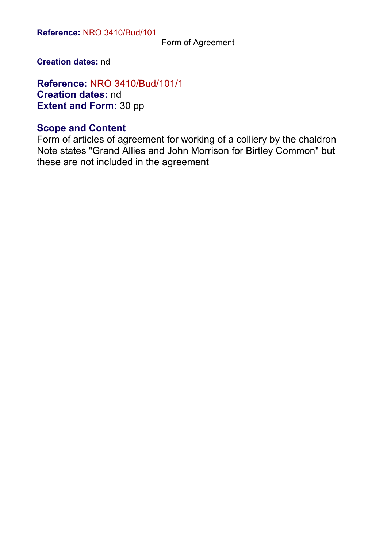Form of Agreement

**Creation dates:** nd

**Reference:** NRO 3410/Bud/101/1 **Creation dates:** nd **Extent and Form:** 30 pp

# **Scope and Content**

Form of articles of agreement for working of a colliery by the chaldron Note states "Grand Allies and John Morrison for Birtley Common" but these are not included in the agreement